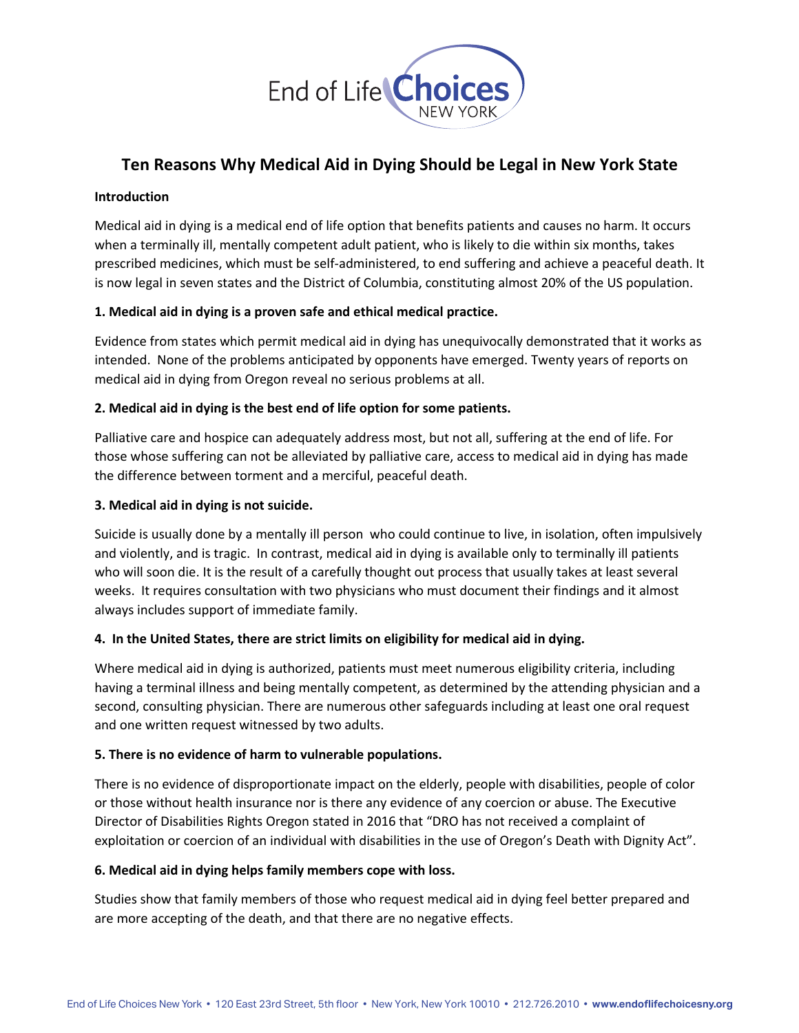

# **Ten Reasons Why Medical Aid in Dying Should be Legal in New York State**

#### **Introduction**

Medical aid in dying is a medical end of life option that benefits patients and causes no harm. It occurs when a terminally ill, mentally competent adult patient, who is likely to die within six months, takes prescribed medicines, which must be self-administered, to end suffering and achieve a peaceful death. It is now legal in seven states and the District of Columbia, constituting almost 20% of the US population.

## **1. Medical aid in dying is a proven safe and ethical medical practice.**

Evidence from states which permit medical aid in dying has unequivocally demonstrated that it works as intended. None of the problems anticipated by opponents have emerged. Twenty years of reports on medical aid in dying from Oregon reveal no serious problems at all.

## **2. Medical aid in dying is the best end of life option for some patients.**

Palliative care and hospice can adequately address most, but not all, suffering at the end of life. For those whose suffering can not be alleviated by palliative care, access to medical aid in dying has made the difference between torment and a merciful, peaceful death.

## **3. Medical aid in dying is not suicide.**

Suicide is usually done by a mentally ill person who could continue to live, in isolation, often impulsively and violently, and is tragic. In contrast, medical aid in dying is available only to terminally ill patients who will soon die. It is the result of a carefully thought out process that usually takes at least several weeks. It requires consultation with two physicians who must document their findings and it almost always includes support of immediate family.

## **4. In the United States, there are strict limits on eligibility for medical aid in dying.**

Where medical aid in dying is authorized, patients must meet numerous eligibility criteria, including having a terminal illness and being mentally competent, as determined by the attending physician and a second, consulting physician. There are numerous other safeguards including at least one oral request and one written request witnessed by two adults.

#### **5. There is no evidence of harm to vulnerable populations.**

There is no evidence of disproportionate impact on the elderly, people with disabilities, people of color or those without health insurance nor is there any evidence of any coercion or abuse. The Executive Director of Disabilities Rights Oregon stated in 2016 that "DRO has not received a complaint of exploitation or coercion of an individual with disabilities in the use of Oregon's Death with Dignity Act".

#### **6. Medical aid in dying helps family members cope with loss.**

Studies show that family members of those who request medical aid in dying feel better prepared and are more accepting of the death, and that there are no negative effects.